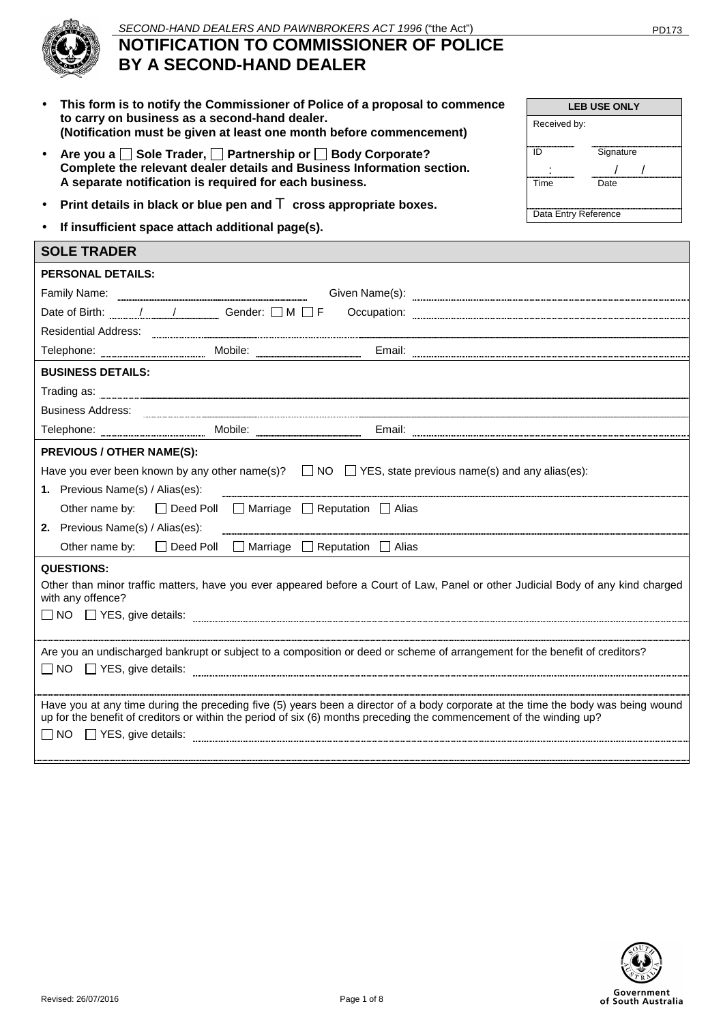**LEB USE ONLY** 

**ID** Signature : / /

Time Date

Data Entry Reference

Received by:



# **NOTIFICATION TO COMMISSIONER OF POLICE BY A SECOND-HAND DEALER**

- **This form is to notify the Commissioner of Police of a proposal to commence to carry on business as a second-hand dealer. (Notification must be given at least one month before commencement)**
- Are you a  $\Box$  Sole Trader,  $\Box$  Partnership or  $\Box$  Body Corporate? **Complete the relevant dealer details and Business Information section. A separate notification is required for each business.**
- **Print details in black or blue pen and** T **cross appropriate boxes.**
- **If insufficient space attach additional page(s).**

| <b>SOLE TRADER</b>                                                                                                                                                                                                                                                                  |  |  |  |
|-------------------------------------------------------------------------------------------------------------------------------------------------------------------------------------------------------------------------------------------------------------------------------------|--|--|--|
| <b>PERSONAL DETAILS:</b>                                                                                                                                                                                                                                                            |  |  |  |
|                                                                                                                                                                                                                                                                                     |  |  |  |
| Date of Birth: $/$ / Gender: $\Box$ M $\Box$ F                                                                                                                                                                                                                                      |  |  |  |
| Residential Address: 2008 Contract Contract Contract Contract Contract Contract Contract Contract Contract Contract Contract Contract Contract Contract Contract Contract Contract Contract Contract Contract Contract Contrac                                                      |  |  |  |
| Telephone: Mobile: Mobile: Email: Email: Email: Email: Weblackson.com                                                                                                                                                                                                               |  |  |  |
| <b>BUSINESS DETAILS:</b>                                                                                                                                                                                                                                                            |  |  |  |
|                                                                                                                                                                                                                                                                                     |  |  |  |
| <b>Business Address:</b>                                                                                                                                                                                                                                                            |  |  |  |
| Telephone: <u>Email: Email: Email: Email: Email: Email: Email: Email: Email: Email: Email: Email: Email: Email: Email: Email: Email: Email: Email: Email: Email: Email: Email: Email: Email: Email: Email: Email: Email: Email: </u>                                                |  |  |  |
| <b>PREVIOUS / OTHER NAME(S):</b>                                                                                                                                                                                                                                                    |  |  |  |
| Have you ever been known by any other name(s)? $\Box$ NO $\Box$ YES, state previous name(s) and any alias(es):                                                                                                                                                                      |  |  |  |
| 1. Previous Name(s) / Alias(es):                                                                                                                                                                                                                                                    |  |  |  |
| Other name by: $\Box$ Deed Poll $\Box$ Marriage $\Box$ Reputation $\Box$ Alias                                                                                                                                                                                                      |  |  |  |
| 2. Previous Name(s) / Alias(es):                                                                                                                                                                                                                                                    |  |  |  |
| $\Box$ Deed Poll $\Box$ Marriage $\Box$ Reputation $\Box$ Alias<br>Other name by:                                                                                                                                                                                                   |  |  |  |
| <b>QUESTIONS:</b><br>Other than minor traffic matters, have you ever appeared before a Court of Law, Panel or other Judicial Body of any kind charged<br>with any offence?<br>$\Box$ NO $\Box$ YES, give details: $\Box$                                                            |  |  |  |
| Are you an undischarged bankrupt or subject to a composition or deed or scheme of arrangement for the benefit of creditors?                                                                                                                                                         |  |  |  |
| Have you at any time during the preceding five (5) years been a director of a body corporate at the time the body was being wound<br>up for the benefit of creditors or within the period of six (6) months preceding the commencement of the winding up?<br>NO TYES, give details: |  |  |  |

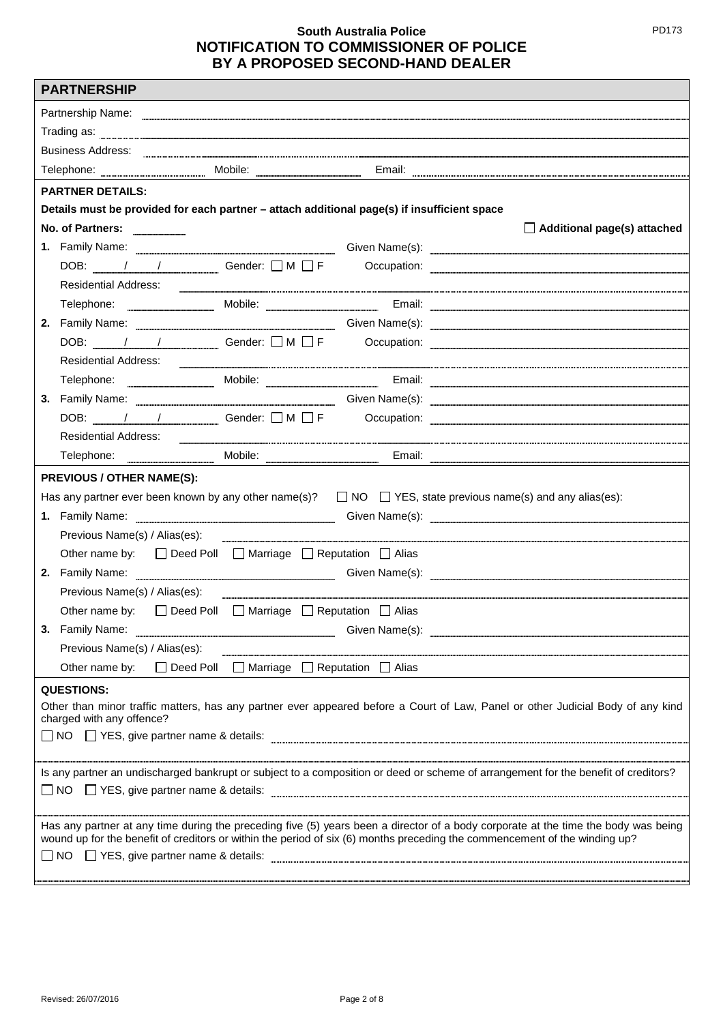|                                                                                                                                                              | <b>PARTNERSHIP</b>                                                                                                                                                                                                                                                                        |  |                                                                 |                                                                                                                                                                                                                                    |
|--------------------------------------------------------------------------------------------------------------------------------------------------------------|-------------------------------------------------------------------------------------------------------------------------------------------------------------------------------------------------------------------------------------------------------------------------------------------|--|-----------------------------------------------------------------|------------------------------------------------------------------------------------------------------------------------------------------------------------------------------------------------------------------------------------|
|                                                                                                                                                              |                                                                                                                                                                                                                                                                                           |  |                                                                 |                                                                                                                                                                                                                                    |
|                                                                                                                                                              | Partnership Name: <u>experimental control of the set of the set of the set of the set of the set of the set of the set of the set of the set of the set of the set of the set of the set of the set of the set of the set of the</u><br>$\sf{Trading} \; \rm{as:} \; \; \underbrace{\; }$ |  |                                                                 |                                                                                                                                                                                                                                    |
|                                                                                                                                                              | Business Address: <u>Committee Committee and Committee Committee and Committee and Committee and Committee and Co</u>                                                                                                                                                                     |  |                                                                 |                                                                                                                                                                                                                                    |
|                                                                                                                                                              |                                                                                                                                                                                                                                                                                           |  |                                                                 | Telephone: www.www.www.www.www.media.com/media.com/media.com/media.com/media.com/media.com/media.com/media.com/                                                                                                                    |
|                                                                                                                                                              | <b>PARTNER DETAILS:</b>                                                                                                                                                                                                                                                                   |  |                                                                 |                                                                                                                                                                                                                                    |
|                                                                                                                                                              | Details must be provided for each partner - attach additional page(s) if insufficient space                                                                                                                                                                                               |  |                                                                 |                                                                                                                                                                                                                                    |
|                                                                                                                                                              | No. of Partners:                                                                                                                                                                                                                                                                          |  |                                                                 | $\Box$ Additional page(s) attached                                                                                                                                                                                                 |
|                                                                                                                                                              |                                                                                                                                                                                                                                                                                           |  |                                                                 |                                                                                                                                                                                                                                    |
|                                                                                                                                                              | DOB: $\sqrt{1 + 1}$ Gender: $\Box M \Box F$                                                                                                                                                                                                                                               |  |                                                                 |                                                                                                                                                                                                                                    |
|                                                                                                                                                              | <b>Residential Address:</b>                                                                                                                                                                                                                                                               |  |                                                                 |                                                                                                                                                                                                                                    |
|                                                                                                                                                              |                                                                                                                                                                                                                                                                                           |  |                                                                 | Telephone: Mobile: Mobile: Email: Email: Email: Allephone: Email: Allephone: Allephone: Allephone: Allephone: Allephone: Allephone: Allephone: Allephone: Allephone: Allephone: Allephone: Allephone: Allephone: Allephone: Al     |
|                                                                                                                                                              |                                                                                                                                                                                                                                                                                           |  |                                                                 | 2. Family Name: <b>Example 2. Family Name:</b> Given Name(s): <u>Example 2. Family Name: Example 2. Family Name: 2. The Same Civen Name (s):</u>                                                                                   |
|                                                                                                                                                              |                                                                                                                                                                                                                                                                                           |  |                                                                 |                                                                                                                                                                                                                                    |
|                                                                                                                                                              |                                                                                                                                                                                                                                                                                           |  |                                                                 |                                                                                                                                                                                                                                    |
|                                                                                                                                                              |                                                                                                                                                                                                                                                                                           |  |                                                                 | Telephone: Mobile: Mobile: Email: Email: Email: Email: Email: Email: Email: Email: Email: Email: Email: Email: Email: Email: Email: Email: Email: Email: Email: Email: Email: Email: Email: Email: Email: Email: Email: Email:     |
|                                                                                                                                                              |                                                                                                                                                                                                                                                                                           |  |                                                                 | 3. Family Name: <u>Cambridge Communication</u> Civen Name(s): Containing Communication Communication Communication Communication Communication Communication Communication Communication Communication Communication Communication |
|                                                                                                                                                              |                                                                                                                                                                                                                                                                                           |  |                                                                 | DOB: / / Gender: OM OF Occupation: 2008.                                                                                                                                                                                           |
|                                                                                                                                                              | <b>Residential Address:</b>                                                                                                                                                                                                                                                               |  |                                                                 |                                                                                                                                                                                                                                    |
|                                                                                                                                                              |                                                                                                                                                                                                                                                                                           |  |                                                                 |                                                                                                                                                                                                                                    |
|                                                                                                                                                              | <b>PREVIOUS / OTHER NAME(S):</b>                                                                                                                                                                                                                                                          |  |                                                                 |                                                                                                                                                                                                                                    |
|                                                                                                                                                              |                                                                                                                                                                                                                                                                                           |  |                                                                 | Has any partner ever been known by any other name(s)? $\Box$ NO $\Box$ YES, state previous name(s) and any alias(es):                                                                                                              |
|                                                                                                                                                              |                                                                                                                                                                                                                                                                                           |  |                                                                 | 1. Family Name: <u>Conservation Communication</u> Given Name(s): Conservation Communication Communication Communication                                                                                                            |
|                                                                                                                                                              |                                                                                                                                                                                                                                                                                           |  |                                                                 |                                                                                                                                                                                                                                    |
|                                                                                                                                                              | Other name by: □ Deed Poll □ Marriage □ Reputation □ Alias                                                                                                                                                                                                                                |  |                                                                 |                                                                                                                                                                                                                                    |
|                                                                                                                                                              |                                                                                                                                                                                                                                                                                           |  |                                                                 |                                                                                                                                                                                                                                    |
|                                                                                                                                                              | Previous Name(s) / Alias(es):                                                                                                                                                                                                                                                             |  |                                                                 |                                                                                                                                                                                                                                    |
|                                                                                                                                                              | Other name by:                                                                                                                                                                                                                                                                            |  | $\Box$ Deed Poll $\Box$ Marriage $\Box$ Reputation $\Box$ Alias |                                                                                                                                                                                                                                    |
|                                                                                                                                                              | 3. Family Name:                                                                                                                                                                                                                                                                           |  |                                                                 |                                                                                                                                                                                                                                    |
|                                                                                                                                                              | Previous Name(s) / Alias(es):                                                                                                                                                                                                                                                             |  |                                                                 |                                                                                                                                                                                                                                    |
|                                                                                                                                                              | Other name by:                                                                                                                                                                                                                                                                            |  | $\Box$ Deed Poll $\Box$ Marriage $\Box$ Reputation $\Box$ Alias |                                                                                                                                                                                                                                    |
|                                                                                                                                                              | <b>QUESTIONS:</b>                                                                                                                                                                                                                                                                         |  |                                                                 |                                                                                                                                                                                                                                    |
| Other than minor traffic matters, has any partner ever appeared before a Court of Law, Panel or other Judicial Body of any kind<br>charged with any offence? |                                                                                                                                                                                                                                                                                           |  |                                                                 |                                                                                                                                                                                                                                    |
| □ NO □ YES, give partner name & details:                                                                                                                     |                                                                                                                                                                                                                                                                                           |  |                                                                 |                                                                                                                                                                                                                                    |
|                                                                                                                                                              |                                                                                                                                                                                                                                                                                           |  |                                                                 |                                                                                                                                                                                                                                    |
| Is any partner an undischarged bankrupt or subject to a composition or deed or scheme of arrangement for the benefit of creditors?                           |                                                                                                                                                                                                                                                                                           |  |                                                                 |                                                                                                                                                                                                                                    |
|                                                                                                                                                              |                                                                                                                                                                                                                                                                                           |  |                                                                 |                                                                                                                                                                                                                                    |
|                                                                                                                                                              |                                                                                                                                                                                                                                                                                           |  |                                                                 |                                                                                                                                                                                                                                    |
|                                                                                                                                                              |                                                                                                                                                                                                                                                                                           |  |                                                                 | Has any partner at any time during the preceding five (5) years been a director of a body corporate at the time the body was being                                                                                                 |
|                                                                                                                                                              |                                                                                                                                                                                                                                                                                           |  |                                                                 | wound up for the benefit of creditors or within the period of six (6) months preceding the commencement of the winding up?                                                                                                         |
|                                                                                                                                                              |                                                                                                                                                                                                                                                                                           |  |                                                                 |                                                                                                                                                                                                                                    |
|                                                                                                                                                              |                                                                                                                                                                                                                                                                                           |  |                                                                 |                                                                                                                                                                                                                                    |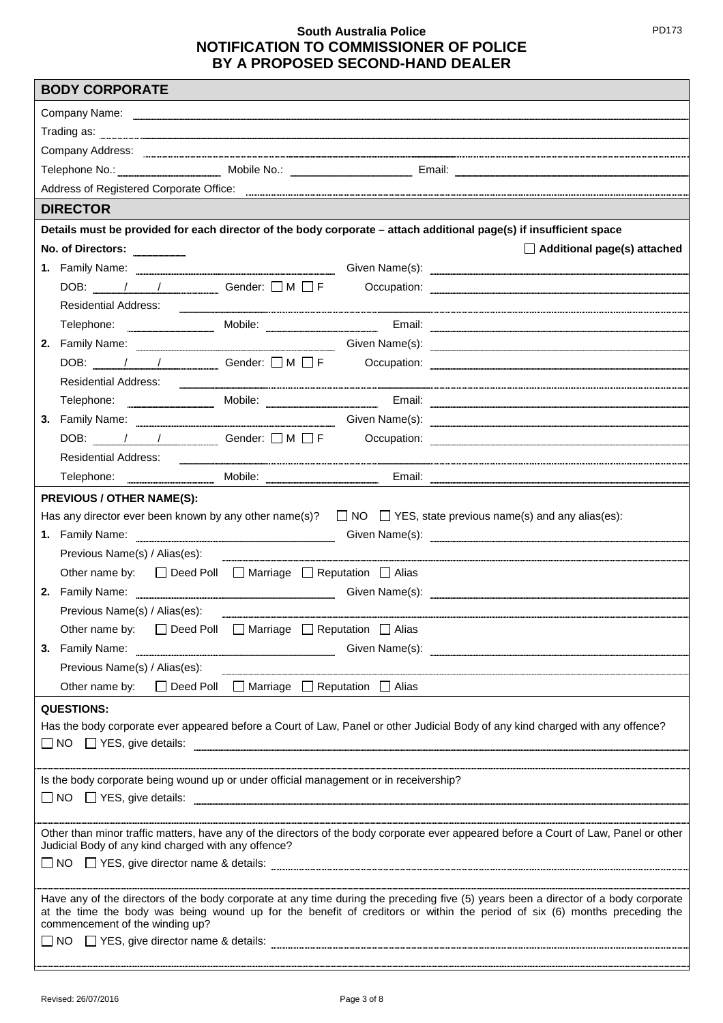| <b>BODY CORPORATE</b>                                                                                                                                                                                                                                            |                                                                                                                                                                                                                                |                                                                 |  |                                                                                                                                                                                                                                          |
|------------------------------------------------------------------------------------------------------------------------------------------------------------------------------------------------------------------------------------------------------------------|--------------------------------------------------------------------------------------------------------------------------------------------------------------------------------------------------------------------------------|-----------------------------------------------------------------|--|------------------------------------------------------------------------------------------------------------------------------------------------------------------------------------------------------------------------------------------|
| Company Name: <u>experience and the company Name:</u> experience and the company Name:                                                                                                                                                                           |                                                                                                                                                                                                                                |                                                                 |  |                                                                                                                                                                                                                                          |
|                                                                                                                                                                                                                                                                  | Trading as: www.communication.com/www.communications.com/www.communications.com/www.communications.com/www.communications.com/www.communications.com/www.communications.com/www.communications.com/www.communications.com/www. |                                                                 |  |                                                                                                                                                                                                                                          |
|                                                                                                                                                                                                                                                                  |                                                                                                                                                                                                                                |                                                                 |  |                                                                                                                                                                                                                                          |
|                                                                                                                                                                                                                                                                  |                                                                                                                                                                                                                                |                                                                 |  | Telephone No.: Mobile No.: Mobile No.: Email: Email: Email: Email: Email: Email: Email: Allen Mobile No.: Allen Mobile No.: Allen Mobile No.: Allen Mobile No.: Allen Mobile No.: Allen Mobile No.: Allen Mobile No.: Allen Mo           |
|                                                                                                                                                                                                                                                                  |                                                                                                                                                                                                                                |                                                                 |  | Address of Registered Corporate Office: <u>Community Community Community Community Community Community Community</u>                                                                                                                     |
|                                                                                                                                                                                                                                                                  | <b>DIRECTOR</b>                                                                                                                                                                                                                |                                                                 |  |                                                                                                                                                                                                                                          |
|                                                                                                                                                                                                                                                                  |                                                                                                                                                                                                                                |                                                                 |  | Details must be provided for each director of the body corporate - attach additional page(s) if insufficient space                                                                                                                       |
|                                                                                                                                                                                                                                                                  | No. of Directors:                                                                                                                                                                                                              |                                                                 |  | $\Box$ Additional page(s) attached                                                                                                                                                                                                       |
|                                                                                                                                                                                                                                                                  |                                                                                                                                                                                                                                |                                                                 |  | 1. Family Name: <b>Example 2.1 Automobile Contract Contract Contract Contract Contract Contract Contract Contract Contract Contract Contract Contract Contract Contract Contract Contract Contract Contract Contract Contract Co</b>     |
|                                                                                                                                                                                                                                                                  |                                                                                                                                                                                                                                |                                                                 |  |                                                                                                                                                                                                                                          |
|                                                                                                                                                                                                                                                                  | Residential Address:                                                                                                                                                                                                           |                                                                 |  |                                                                                                                                                                                                                                          |
|                                                                                                                                                                                                                                                                  |                                                                                                                                                                                                                                |                                                                 |  | Telephone: Mobile: Mobile: Email: Email: Email: Allephone: Email: Allephone: Allephone: Allephone: Allephone: Allephone: Allephone: Allephone: Allephone: Allephone: Allephone: Allephone: Allephone: Allephone: Allephone: Al           |
|                                                                                                                                                                                                                                                                  |                                                                                                                                                                                                                                |                                                                 |  | 2. Family Name: <u>Cameran Communication</u> Given Name(s): Containing Communication Communication Communication Communication Communication Communication Communication Communication Communication Communication Communication Co      |
|                                                                                                                                                                                                                                                                  |                                                                                                                                                                                                                                |                                                                 |  | DOB: $\frac{1}{\sqrt{1-\frac{1}{2}}}\sqrt{1-\frac{1}{2}}$ Gender: $\Box M \Box F$ Occupation:                                                                                                                                            |
|                                                                                                                                                                                                                                                                  | Residential Address:                                                                                                                                                                                                           |                                                                 |  |                                                                                                                                                                                                                                          |
|                                                                                                                                                                                                                                                                  |                                                                                                                                                                                                                                |                                                                 |  |                                                                                                                                                                                                                                          |
|                                                                                                                                                                                                                                                                  |                                                                                                                                                                                                                                |                                                                 |  | 3. Family Name: <b>Example 2. Solution</b> Siden Name(s): <b>Civen Name</b> (steer and the steer and the steer and the steer and the steer and the steer and the steer and the steer and the steer and the steer and the steer and the s |
|                                                                                                                                                                                                                                                                  |                                                                                                                                                                                                                                |                                                                 |  | DOB: / / Gender: U M U F Occupation: 2008 COMPLETED M ON THE OCCUPATION:                                                                                                                                                                 |
|                                                                                                                                                                                                                                                                  | <b>Residential Address:</b>                                                                                                                                                                                                    |                                                                 |  |                                                                                                                                                                                                                                          |
|                                                                                                                                                                                                                                                                  |                                                                                                                                                                                                                                |                                                                 |  |                                                                                                                                                                                                                                          |
|                                                                                                                                                                                                                                                                  | <b>PREVIOUS / OTHER NAME(S):</b>                                                                                                                                                                                               |                                                                 |  |                                                                                                                                                                                                                                          |
|                                                                                                                                                                                                                                                                  |                                                                                                                                                                                                                                |                                                                 |  | Has any director ever been known by any other name(s)? $\Box$ NO $\Box$ YES, state previous name(s) and any alias(es):                                                                                                                   |
|                                                                                                                                                                                                                                                                  |                                                                                                                                                                                                                                |                                                                 |  | 1. Family Name: <u>International Communications</u> Given Name(s): Containers Communications Communications Communications Communications Communications Communications Communications Communications Communications Communications      |
|                                                                                                                                                                                                                                                                  | Previous Name(s) / Alias(es):                                                                                                                                                                                                  |                                                                 |  |                                                                                                                                                                                                                                          |
|                                                                                                                                                                                                                                                                  | Other name by: □ Deed Poll □ Marriage □ Reputation □ Alias                                                                                                                                                                     |                                                                 |  |                                                                                                                                                                                                                                          |
|                                                                                                                                                                                                                                                                  |                                                                                                                                                                                                                                |                                                                 |  | 2. Family Name: <b>Example 2. Family Name:</b> Given Name(s): <b>Civen Name</b> (s):                                                                                                                                                     |
|                                                                                                                                                                                                                                                                  | Previous Name(s) / Alias(es):                                                                                                                                                                                                  |                                                                 |  |                                                                                                                                                                                                                                          |
|                                                                                                                                                                                                                                                                  | Other name by:                                                                                                                                                                                                                 | $\Box$ Deed Poll $\Box$ Marriage $\Box$ Reputation $\Box$ Alias |  |                                                                                                                                                                                                                                          |
|                                                                                                                                                                                                                                                                  |                                                                                                                                                                                                                                |                                                                 |  | 3. Family Name: <b>Example 2. Society A. A. Example 2. Society A. A. Example 2. Society A. A. Equipment 2. Society A. A. Equipment 2. Society A. A. Equipment 2. Society A. A. Equipment 2. Society A. Equipment 2. Society A. E</b>     |
|                                                                                                                                                                                                                                                                  | Previous Name(s) / Alias(es):                                                                                                                                                                                                  |                                                                 |  |                                                                                                                                                                                                                                          |
|                                                                                                                                                                                                                                                                  | Other name by: $\Box$ Deed Poll $\Box$ Marriage $\Box$ Reputation $\Box$ Alias                                                                                                                                                 |                                                                 |  |                                                                                                                                                                                                                                          |
|                                                                                                                                                                                                                                                                  | <b>QUESTIONS:</b>                                                                                                                                                                                                              |                                                                 |  |                                                                                                                                                                                                                                          |
|                                                                                                                                                                                                                                                                  |                                                                                                                                                                                                                                |                                                                 |  | Has the body corporate ever appeared before a Court of Law, Panel or other Judicial Body of any kind charged with any offence?                                                                                                           |
|                                                                                                                                                                                                                                                                  |                                                                                                                                                                                                                                |                                                                 |  | $\Box$ NO $\Box$ YES, give details: $\Box$                                                                                                                                                                                               |
|                                                                                                                                                                                                                                                                  |                                                                                                                                                                                                                                |                                                                 |  |                                                                                                                                                                                                                                          |
| Is the body corporate being wound up or under official management or in receivership?                                                                                                                                                                            |                                                                                                                                                                                                                                |                                                                 |  |                                                                                                                                                                                                                                          |
|                                                                                                                                                                                                                                                                  |                                                                                                                                                                                                                                |                                                                 |  |                                                                                                                                                                                                                                          |
|                                                                                                                                                                                                                                                                  |                                                                                                                                                                                                                                |                                                                 |  | Other than minor traffic matters, have any of the directors of the body corporate ever appeared before a Court of Law, Panel or other                                                                                                    |
| Judicial Body of any kind charged with any offence?                                                                                                                                                                                                              |                                                                                                                                                                                                                                |                                                                 |  |                                                                                                                                                                                                                                          |
|                                                                                                                                                                                                                                                                  |                                                                                                                                                                                                                                |                                                                 |  |                                                                                                                                                                                                                                          |
|                                                                                                                                                                                                                                                                  |                                                                                                                                                                                                                                |                                                                 |  |                                                                                                                                                                                                                                          |
| Have any of the directors of the body corporate at any time during the preceding five (5) years been a director of a body corporate<br>at the time the body was being wound up for the benefit of creditors or within the period of six (6) months preceding the |                                                                                                                                                                                                                                |                                                                 |  |                                                                                                                                                                                                                                          |
| commencement of the winding up?                                                                                                                                                                                                                                  |                                                                                                                                                                                                                                |                                                                 |  |                                                                                                                                                                                                                                          |
|                                                                                                                                                                                                                                                                  |                                                                                                                                                                                                                                |                                                                 |  |                                                                                                                                                                                                                                          |
|                                                                                                                                                                                                                                                                  |                                                                                                                                                                                                                                |                                                                 |  |                                                                                                                                                                                                                                          |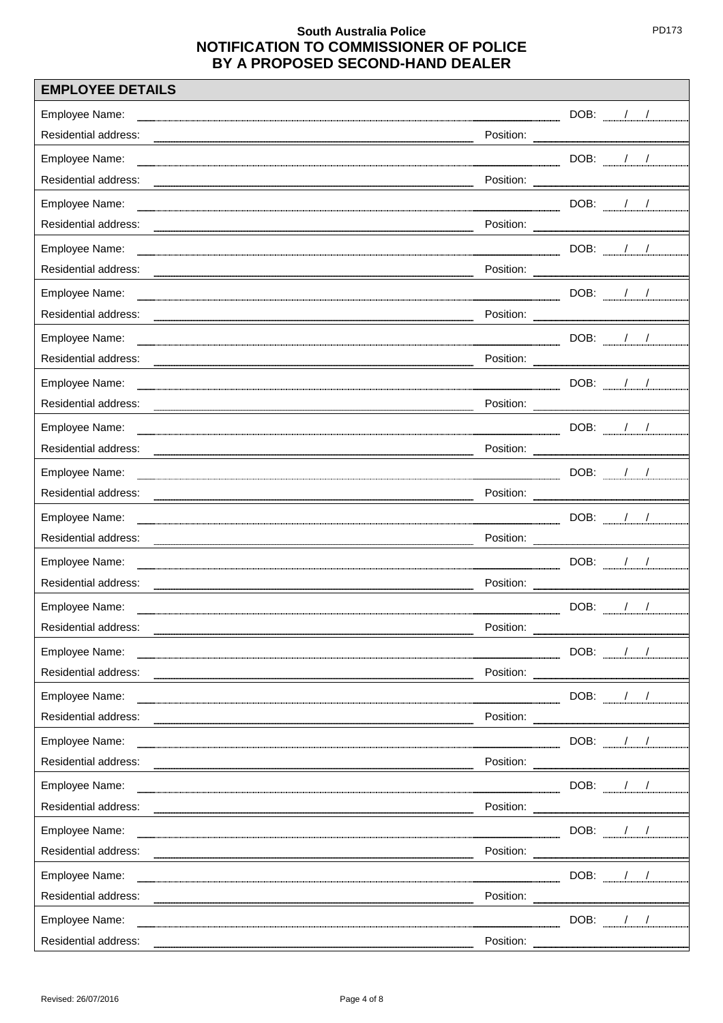| <b>EMPLOYEE DETAILS</b> |           |                                        |
|-------------------------|-----------|----------------------------------------|
| Employee Name:          |           | DOB: //                                |
| Residential address:    |           |                                        |
| Employee Name:          |           | ___________DOB: ______/____/__________ |
| Residential address:    |           |                                        |
| Employee Name:          |           | DOB: $\frac{1}{2}$                     |
| Residential address:    |           |                                        |
| Employee Name:          |           | $DOB:$ $1/$                            |
| Residential address:    |           |                                        |
| Employee Name:          |           | DOB: $\frac{1}{2}$                     |
| Residential address:    |           |                                        |
| Employee Name:          |           | DOB: $/$ /                             |
| Residential address:    |           |                                        |
| Employee Name:          |           | $DOB:$ / /                             |
| Residential address:    |           |                                        |
| Employee Name:          |           | DOB: $\frac{1}{2}$                     |
| Residential address:    |           |                                        |
| Employee Name:          |           | DOB: $\frac{1}{2}$                     |
| Residential address:    |           |                                        |
| Employee Name:          |           | DOB: ///                               |
| Residential address:    |           |                                        |
| Employee Name:          |           | $DOB:$ $1/$                            |
| Residential address:    |           |                                        |
| Employee Name:          |           | DOB: $\frac{1}{2}$                     |
| Residential address:    | Position: |                                        |
| Employee Name:          |           | DOB: / /                               |
| Residential address:    |           |                                        |
| Employee Name:          |           | $DOB:$ / /                             |
| Residential address:    |           |                                        |
| Employee Name:          |           | DOB: / /                               |
| Residential address:    |           |                                        |
| Employee Name:          |           | DOB: / /                               |
| Residential address:    |           |                                        |
| Employee Name:          |           | DOB: / /                               |
| Residential address:    |           |                                        |
| Employee Name:          |           | DOB: $\frac{1}{2}$                     |
| Residential address:    |           | Position:                              |
| Employee Name:          |           | DOB: / /                               |
| Residential address:    |           |                                        |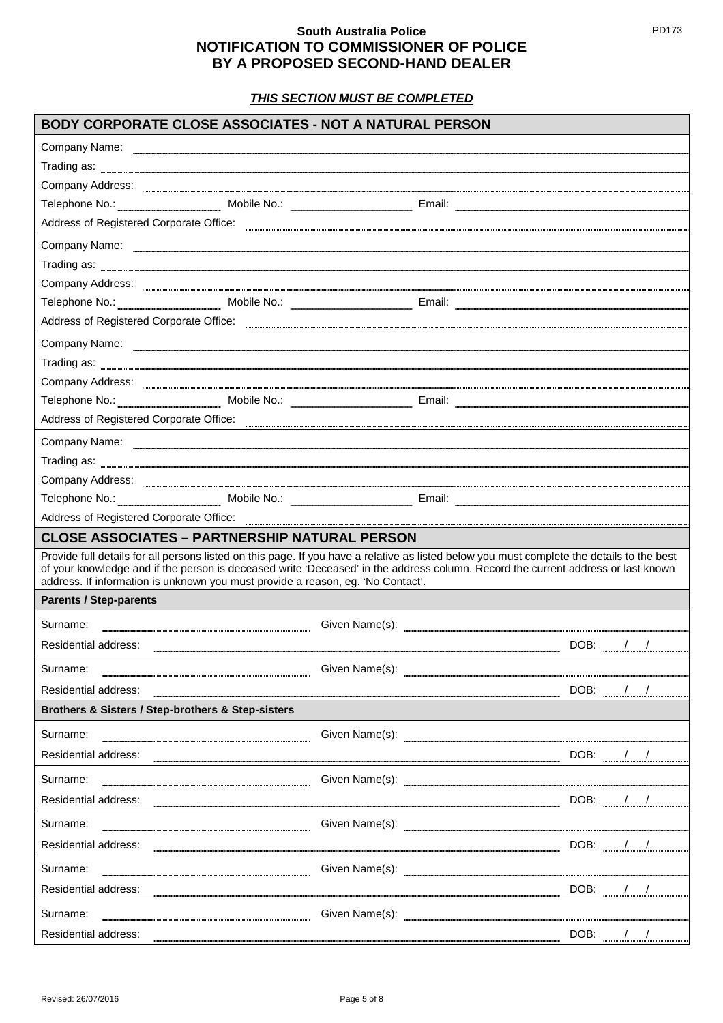*THIS SECTION MUST BE COMPLETED*

| Company Name: company Name: company Name: company Name: company Name: company Name: company Name: company Name: company Name: company Name: company Name: company Name: company Name: company Name: company Name: company Name<br>Trading as: <u>Commission Commission Commission Commission Commission Commission Commission Commission Commission</u><br>Telephone No.: Mobile No.: Mobile No.: Email: Email: Email: Email: Email: Email: Email: Email: Email: Email: Email: Email: Email: Email: Email: Email: Email: Email: Email: Email: Email: Email: Email: Email: Email: Email: E<br>Address of Registered Corporate Office: <b>with the contract of the contract of the contract of Registered Corporate Office:</b> |  |
|-------------------------------------------------------------------------------------------------------------------------------------------------------------------------------------------------------------------------------------------------------------------------------------------------------------------------------------------------------------------------------------------------------------------------------------------------------------------------------------------------------------------------------------------------------------------------------------------------------------------------------------------------------------------------------------------------------------------------------|--|
|                                                                                                                                                                                                                                                                                                                                                                                                                                                                                                                                                                                                                                                                                                                               |  |
|                                                                                                                                                                                                                                                                                                                                                                                                                                                                                                                                                                                                                                                                                                                               |  |
|                                                                                                                                                                                                                                                                                                                                                                                                                                                                                                                                                                                                                                                                                                                               |  |
|                                                                                                                                                                                                                                                                                                                                                                                                                                                                                                                                                                                                                                                                                                                               |  |
|                                                                                                                                                                                                                                                                                                                                                                                                                                                                                                                                                                                                                                                                                                                               |  |
|                                                                                                                                                                                                                                                                                                                                                                                                                                                                                                                                                                                                                                                                                                                               |  |
|                                                                                                                                                                                                                                                                                                                                                                                                                                                                                                                                                                                                                                                                                                                               |  |
| Company Address: <u>experimental company</u> Address:                                                                                                                                                                                                                                                                                                                                                                                                                                                                                                                                                                                                                                                                         |  |
|                                                                                                                                                                                                                                                                                                                                                                                                                                                                                                                                                                                                                                                                                                                               |  |
| Address of Registered Corporate Office: <b>with the contract of the contract of the contract of Registered Corporate Office:</b>                                                                                                                                                                                                                                                                                                                                                                                                                                                                                                                                                                                              |  |
|                                                                                                                                                                                                                                                                                                                                                                                                                                                                                                                                                                                                                                                                                                                               |  |
|                                                                                                                                                                                                                                                                                                                                                                                                                                                                                                                                                                                                                                                                                                                               |  |
| Company Address: <u>Company Address: Company Address: Company Address: Company Address: Company Address: Company Address: Company Address: Company Address: Company Address: Company Address: Company Address: Company Address: </u>                                                                                                                                                                                                                                                                                                                                                                                                                                                                                          |  |
|                                                                                                                                                                                                                                                                                                                                                                                                                                                                                                                                                                                                                                                                                                                               |  |
| Address of Registered Corporate Office: <b>we are also assumed a contract of Registered Corporate Office:</b>                                                                                                                                                                                                                                                                                                                                                                                                                                                                                                                                                                                                                 |  |
| Company Name: www.communication.com/news/web/2010/01/2010 12/01/2010 12/01/2010 12/01/2010 12/01/2010 12/01/20                                                                                                                                                                                                                                                                                                                                                                                                                                                                                                                                                                                                                |  |
|                                                                                                                                                                                                                                                                                                                                                                                                                                                                                                                                                                                                                                                                                                                               |  |
| Company Address: <b>www.communications.communications.communications.communications</b>                                                                                                                                                                                                                                                                                                                                                                                                                                                                                                                                                                                                                                       |  |
|                                                                                                                                                                                                                                                                                                                                                                                                                                                                                                                                                                                                                                                                                                                               |  |
| Address of Registered Corporate Office: <b>Communist Container and Container Container and Container Address of Registered Corporate Office:</b>                                                                                                                                                                                                                                                                                                                                                                                                                                                                                                                                                                              |  |
| <b>CLOSE ASSOCIATES - PARTNERSHIP NATURAL PERSON</b>                                                                                                                                                                                                                                                                                                                                                                                                                                                                                                                                                                                                                                                                          |  |
| Provide full details for all persons listed on this page. If you have a relative as listed below you must complete the details to the best<br>of your knowledge and if the person is deceased write 'Deceased' in the address column. Record the current address or last known<br>address. If information is unknown you must provide a reason, eg. 'No Contact'.                                                                                                                                                                                                                                                                                                                                                             |  |
| <b>Parents / Step-parents</b>                                                                                                                                                                                                                                                                                                                                                                                                                                                                                                                                                                                                                                                                                                 |  |
| Surname:                                                                                                                                                                                                                                                                                                                                                                                                                                                                                                                                                                                                                                                                                                                      |  |
| DOB: $\frac{1}{2}$<br>Residential address:                                                                                                                                                                                                                                                                                                                                                                                                                                                                                                                                                                                                                                                                                    |  |
| Surname:                                                                                                                                                                                                                                                                                                                                                                                                                                                                                                                                                                                                                                                                                                                      |  |
| DOB: //<br>Residential address:                                                                                                                                                                                                                                                                                                                                                                                                                                                                                                                                                                                                                                                                                               |  |
| Brothers & Sisters / Step-brothers & Step-sisters                                                                                                                                                                                                                                                                                                                                                                                                                                                                                                                                                                                                                                                                             |  |
| Surname:                                                                                                                                                                                                                                                                                                                                                                                                                                                                                                                                                                                                                                                                                                                      |  |
| $DOB:$ $1/2$<br>Residential address:                                                                                                                                                                                                                                                                                                                                                                                                                                                                                                                                                                                                                                                                                          |  |
| Surname:                                                                                                                                                                                                                                                                                                                                                                                                                                                                                                                                                                                                                                                                                                                      |  |
| DOB: / /                                                                                                                                                                                                                                                                                                                                                                                                                                                                                                                                                                                                                                                                                                                      |  |
| Surname:                                                                                                                                                                                                                                                                                                                                                                                                                                                                                                                                                                                                                                                                                                                      |  |
|                                                                                                                                                                                                                                                                                                                                                                                                                                                                                                                                                                                                                                                                                                                               |  |
|                                                                                                                                                                                                                                                                                                                                                                                                                                                                                                                                                                                                                                                                                                                               |  |
| DOB: ///<br>Surname:                                                                                                                                                                                                                                                                                                                                                                                                                                                                                                                                                                                                                                                                                                          |  |
|                                                                                                                                                                                                                                                                                                                                                                                                                                                                                                                                                                                                                                                                                                                               |  |
| DOB: / /<br>Surname:                                                                                                                                                                                                                                                                                                                                                                                                                                                                                                                                                                                                                                                                                                          |  |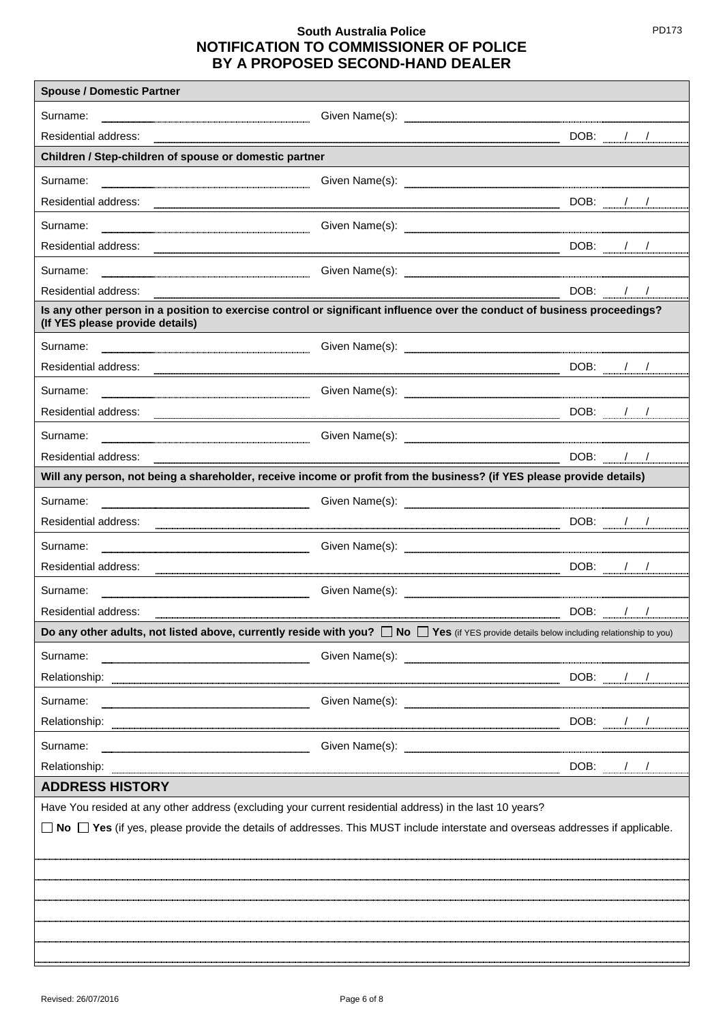| <b>Spouse / Domestic Partner</b>                                                                                                                                                                                              |            |                     |
|-------------------------------------------------------------------------------------------------------------------------------------------------------------------------------------------------------------------------------|------------|---------------------|
| Surname:                                                                                                                                                                                                                      |            |                     |
| Residential address:                                                                                                                                                                                                          |            | DOB: / /            |
| Children / Step-children of spouse or domestic partner                                                                                                                                                                        |            |                     |
| Surname:                                                                                                                                                                                                                      |            |                     |
| Residential address: 2008. The DOB: 2008. The DOB: 2008. The DOB: 2008. The DOB: 2008. The DOB: 2009. The DOB: 2009. The DOB: 2009. The DOB: 2009. The DOB: 2009. The DOB: 2009. The DOB: 2009. The DOB: 2009. The DOB: 2009. |            |                     |
| Surname:                                                                                                                                                                                                                      |            |                     |
|                                                                                                                                                                                                                               |            |                     |
| Surname:                                                                                                                                                                                                                      |            |                     |
| Residential address:                                                                                                                                                                                                          | DOB: $/$ / |                     |
| Is any other person in a position to exercise control or significant influence over the conduct of business proceedings?<br>(If YES please provide details)                                                                   |            |                     |
| Surname:                                                                                                                                                                                                                      |            |                     |
| Residential address:                                                                                                                                                                                                          |            | $DOB:$ $1/$         |
| Surname:                                                                                                                                                                                                                      |            |                     |
| Residential address:                                                                                                                                                                                                          |            | $DOB:$ $1/2$        |
| Surname:                                                                                                                                                                                                                      |            |                     |
| Residential address:                                                                                                                                                                                                          | DOB:       | $\sqrt{2}$          |
| Will any person, not being a shareholder, receive income or profit from the business? (if YES please provide details)                                                                                                         |            |                     |
| Surname:                                                                                                                                                                                                                      |            |                     |
| Residential address:                                                                                                                                                                                                          |            | $DOB:$ $1/2$        |
| Surname:                                                                                                                                                                                                                      |            |                     |
| Residential address:                                                                                                                                                                                                          |            |                     |
| Surname:                                                                                                                                                                                                                      |            |                     |
| Residential address:                                                                                                                                                                                                          |            | DOB: $1 / \sqrt{2}$ |
| Do any other adults, not listed above, currently reside with you?<br>$\Box$ Yes (if YES provide details below including relationship to you)                                                                                  |            |                     |
| Surname:                                                                                                                                                                                                                      |            |                     |
|                                                                                                                                                                                                                               |            | $DOB:$ $1/2$        |
| Surname:                                                                                                                                                                                                                      |            |                     |
|                                                                                                                                                                                                                               |            | DOB: ///            |
| Surname:                                                                                                                                                                                                                      |            |                     |
| Relationship:                                                                                                                                                                                                                 | DOB: $/$ / |                     |
| <b>ADDRESS HISTORY</b>                                                                                                                                                                                                        |            |                     |
| Have You resided at any other address (excluding your current residential address) in the last 10 years?                                                                                                                      |            |                     |
| $\Box$ No $\Box$ Yes (if yes, please provide the details of addresses. This MUST include interstate and overseas addresses if applicable.                                                                                     |            |                     |
|                                                                                                                                                                                                                               |            |                     |
|                                                                                                                                                                                                                               |            |                     |
|                                                                                                                                                                                                                               |            |                     |
|                                                                                                                                                                                                                               |            |                     |
|                                                                                                                                                                                                                               |            |                     |
|                                                                                                                                                                                                                               |            |                     |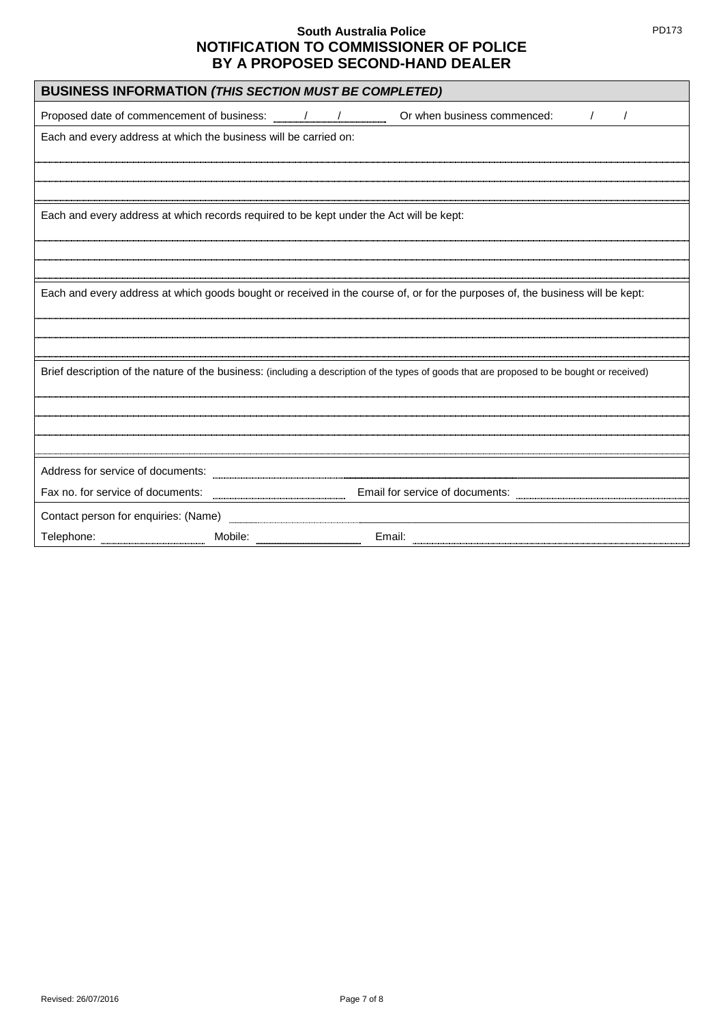| <b>BUSINESS INFORMATION (THIS SECTION MUST BE COMPLETED)</b>                                                                                |  |  |  |
|---------------------------------------------------------------------------------------------------------------------------------------------|--|--|--|
| $\prime$                                                                                                                                    |  |  |  |
| Each and every address at which the business will be carried on:                                                                            |  |  |  |
|                                                                                                                                             |  |  |  |
|                                                                                                                                             |  |  |  |
|                                                                                                                                             |  |  |  |
| Each and every address at which records required to be kept under the Act will be kept:                                                     |  |  |  |
|                                                                                                                                             |  |  |  |
|                                                                                                                                             |  |  |  |
|                                                                                                                                             |  |  |  |
| Each and every address at which goods bought or received in the course of, or for the purposes of, the business will be kept:               |  |  |  |
|                                                                                                                                             |  |  |  |
|                                                                                                                                             |  |  |  |
|                                                                                                                                             |  |  |  |
| Brief description of the nature of the business: (including a description of the types of goods that are proposed to be bought or received) |  |  |  |
|                                                                                                                                             |  |  |  |
|                                                                                                                                             |  |  |  |
|                                                                                                                                             |  |  |  |
|                                                                                                                                             |  |  |  |
| Address for service of documents: <b>Manufacturers</b>                                                                                      |  |  |  |
|                                                                                                                                             |  |  |  |
| Fax no. for service of documents: www.communications.com<br>Email for service of documents: www.walian.com                                  |  |  |  |
| Contact person for enquiries: (Name) <b>CONTER 1999</b>                                                                                     |  |  |  |
| Email:                                                                                                                                      |  |  |  |